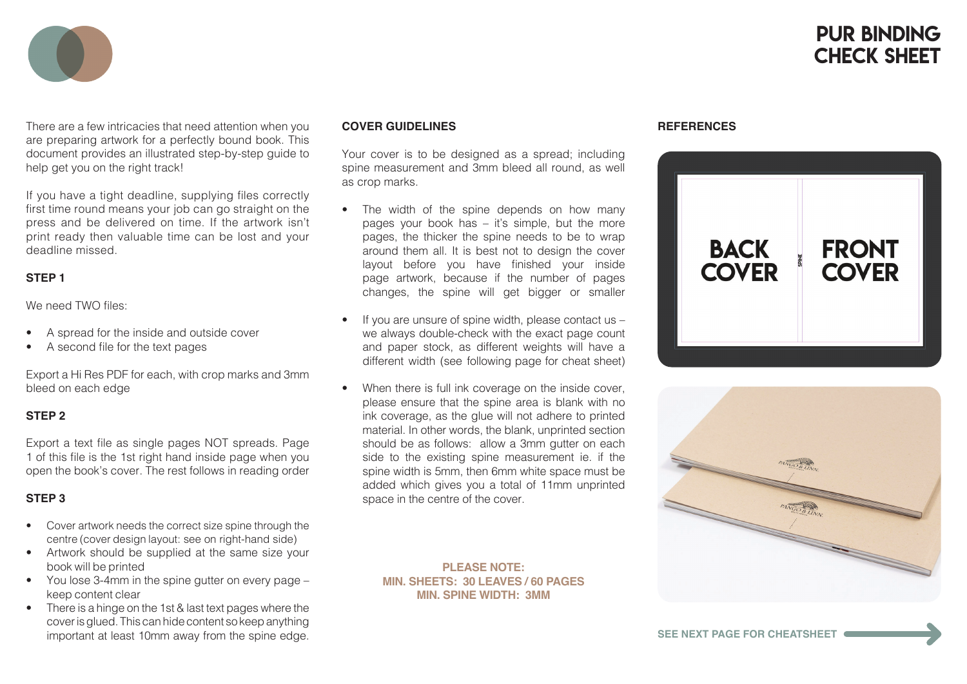# PUR Binding CHECK SHEFT



There are a few intricacies that need attention when you are preparing artwork for a perfectly bound book. This document provides an illustrated step-by-step guide to help get you on the right track!

If you have a tight deadline, supplying files correctly first time round means your job can go straight on the press and be delivered on time. If the artwork isn't print ready then valuable time can be lost and your deadline missed.

#### **STEP 1**

We need TWO files:

- A spread for the inside and outside cover
- A second file for the text pages

Export a Hi Res PDF for each, with crop marks and 3mm bleed on each edge

## **STEP 2**

Export a text file as single pages NOT spreads. Page 1 of this file is the 1st right hand inside page when you open the book's cover. The rest follows in reading order

## **STEP 3**

- Cover artwork needs the correct size spine through the centre (cover design layout: see on right-hand side)
- Artwork should be supplied at the same size your book will be printed
- You lose 3-4mm in the spine gutter on every page keep content clear
- There is a hinge on the 1st & last text pages where the cover is glued. This can hide content so keep anything important at least 10mm away from the spine edge.

#### **COVER GUIDELINES**

Your cover is to be designed as a spread; including spine measurement and 3mm bleed all round, as well as crop marks.

- The width of the spine depends on how many pages your book has – it's simple, but the more pages, the thicker the spine needs to be to wrap around them all. It is best not to design the cover layout before you have finished your inside page artwork, because if the number of pages changes, the spine will get bigger or smaller
- If you are unsure of spine width, please contact us we always double-check with the exact page count and paper stock, as different weights will have a different width (see following page for cheat sheet)
- When there is full ink coverage on the inside cover, please ensure that the spine area is blank with no ink coverage, as the glue will not adhere to printed material. In other words, the blank, unprinted section should be as follows: allow a 3mm gutter on each side to the existing spine measurement ie. if the spine width is 5mm, then 6mm white space must be added which gives you a total of 11mm unprinted space in the centre of the cover.

#### **PLEASE NOTE: MIN. SHEETS: 30 LEAVES / 60 PAGES MIN. SPINE WIDTH: 3MM**

#### **REFERENCES**